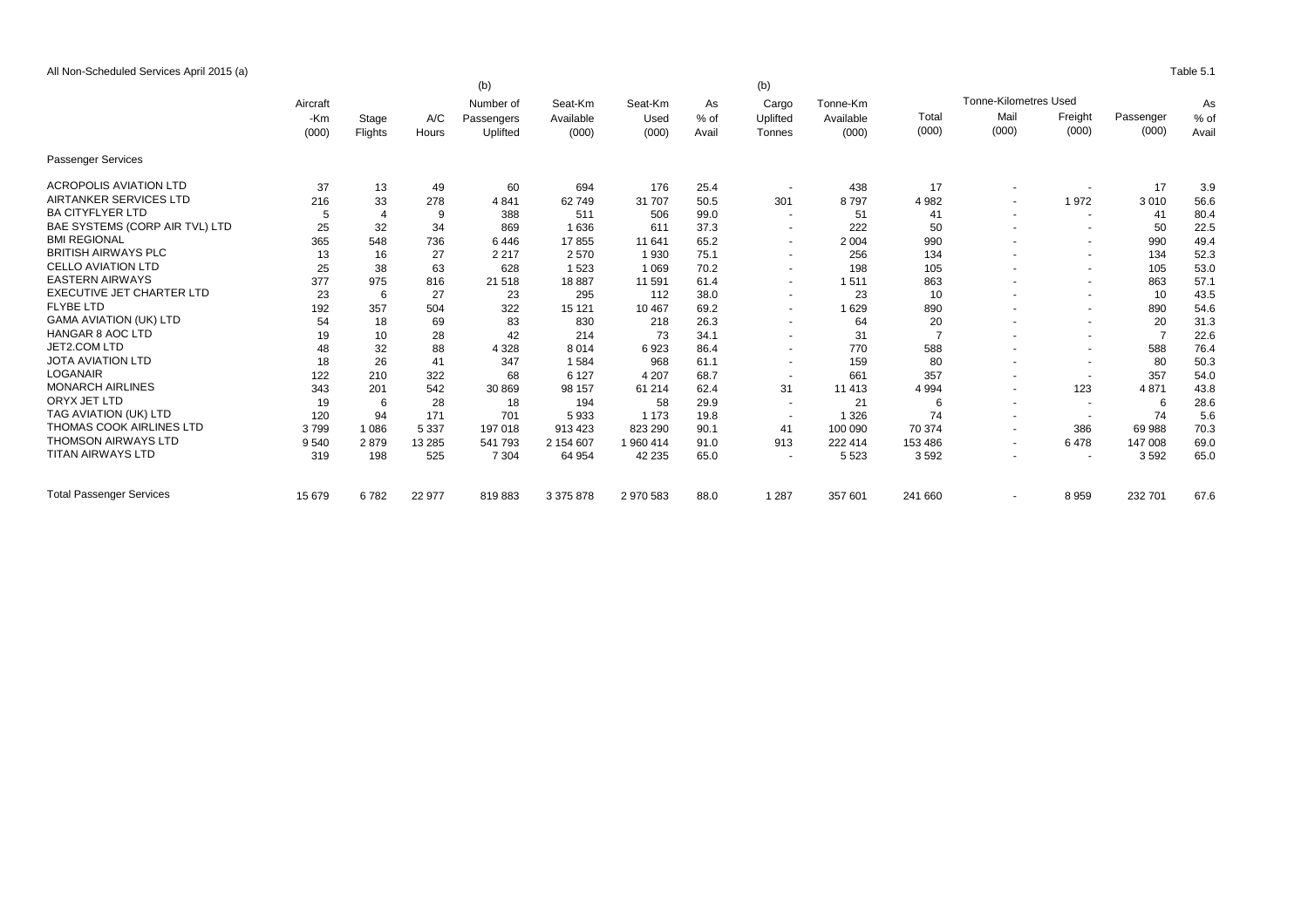All Non-Scheduled Services April 2015 (a) Table 5.1

|                                 |              |          |         | (b)                     |                      |                 |              | (b)                      |                       |                |                          |                          |           |        |
|---------------------------------|--------------|----------|---------|-------------------------|----------------------|-----------------|--------------|--------------------------|-----------------------|----------------|--------------------------|--------------------------|-----------|--------|
|                                 | Aircraft     |          | A/C     | Number of<br>Passengers | Seat-Km<br>Available | Seat-Km<br>Used | As<br>$%$ of | Cargo<br>Uplifted        | Tonne-Km<br>Available |                |                          | As                       |           |        |
|                                 | -Km<br>(000) | Stage    |         |                         |                      |                 |              |                          |                       | Total          | Mail                     | Freight                  | Passenger | $%$ of |
|                                 |              |          | Flights | Hours                   | Uplifted             | (000)           | (000)        | Avail                    | Tonnes                | (000)          | (000)                    | (000)                    | (000)     | (000)  |
| <b>Passenger Services</b>       |              |          |         |                         |                      |                 |              |                          |                       |                |                          |                          |           |        |
| <b>ACROPOLIS AVIATION LTD</b>   | 37           | 13       | 49      | 60                      | 694                  | 176             | 25.4         | $\overline{\phantom{a}}$ | 438                   | 17             |                          | $\sim$                   | 17        | 3.9    |
| AIRTANKER SERVICES LTD          | 216          | 33       | 278     | 4841                    | 62749                | 31 707          | 50.5         | 301                      | 8797                  | 4 9 8 2        |                          | 1972                     | 3010      | 56.6   |
| <b>BA CITYFLYER LTD</b>         | 5            | $\Delta$ | 9       | 388                     | 511                  | 506             | 99.0         | $\sim$                   | 51                    | 41             | $\overline{a}$           | $\sim$                   | 41        | 80.4   |
| BAE SYSTEMS (CORP AIR TVL) LTD  | 25           | 32       | 34      | 869                     | 1636                 | 611             | 37.3         | $\sim$                   | 222                   | 50             |                          | $\overline{\phantom{a}}$ | 50        | 22.5   |
| <b>BMI REGIONAL</b>             | 365          | 548      | 736     | 6446                    | 17855                | 11 641          | 65.2         | $\sim$                   | 2 0 0 4               | 990            |                          | $\sim$                   | 990       | 49.4   |
| <b>BRITISH AIRWAYS PLC</b>      | 13           | 16       | 27      | 2 2 1 7                 | 2570                 | 1930            | 75.1         | $\overline{\phantom{a}}$ | 256                   | 134            |                          | $\sim$                   | 134       | 52.3   |
| <b>CELLO AVIATION LTD</b>       | 25           | 38       | 63      | 628                     | 1523                 | 1 0 6 9         | 70.2         | $\overline{\phantom{a}}$ | 198                   | 105            |                          | $\sim$                   | 105       | 53.0   |
| <b>EASTERN AIRWAYS</b>          | 377          | 975      | 816     | 21 518                  | 18887                | 11 591          | 61.4         | $\sim$                   | 1511                  | 863            |                          | $\sim$                   | 863       | 57.1   |
| EXECUTIVE JET CHARTER LTD       | 23           | 6        | 27      | 23                      | 295                  | 112             | 38.0         | $\sim$                   | 23                    | 10             |                          | $\sim$                   | 10        | 43.5   |
| <b>FLYBE LTD</b>                | 192          | 357      | 504     | 322                     | 15 121               | 10 467          | 69.2         | $\overline{\phantom{a}}$ | 1629                  | 890            |                          | $\sim$                   | 890       | 54.6   |
| <b>GAMA AVIATION (UK) LTD</b>   | 54           | 18       | 69      | 83                      | 830                  | 218             | 26.3         | $\sim$                   | 64                    | 20             |                          | $\sim$                   | 20        | 31.3   |
| <b>HANGAR 8 AOC LTD</b>         | 19           | 10       | 28      | 42                      | 214                  | 73              | 34.1         | $\sim$                   | 31                    | $\overline{7}$ |                          | $\sim$                   |           | 22.6   |
| JET2.COM LTD                    | 48           | 32       | 88      | 4 3 2 8                 | 8014                 | 6923            | 86.4         | $\overline{a}$           | 770                   | 588            |                          | $\overline{a}$           | 588       | 76.4   |
| <b>JOTA AVIATION LTD</b>        | 18           | 26       | 41      | 347                     | 1584                 | 968             | 61.1         | $\sim$                   | 159                   | 80             |                          | $\sim$                   | 80        | 50.3   |
| <b>LOGANAIR</b>                 | 122          | 210      | 322     | 68                      | 6 1 2 7              | 4 207           | 68.7         | $\overline{\phantom{a}}$ | 661                   | 357            |                          | $\overline{a}$           | 357       | 54.0   |
| <b>MONARCH AIRLINES</b>         | 343          | 201      | 542     | 30 869                  | 98 157               | 61 214          | 62.4         | 31                       | 11 413                | 4 9 9 4        |                          | 123                      | 4871      | 43.8   |
| ORYX JET LTD                    | 19           | 6        | 28      | 18                      | 194                  | 58              | 29.9         | $\sim$                   | 21                    | 6              |                          | $\overline{\phantom{a}}$ | 6         | 28.6   |
| TAG AVIATION (UK) LTD           | 120          | 94       | 171     | 701                     | 5933                 | 1 1 7 3         | 19.8         | $\sim$                   | 1 3 2 6               | 74             |                          | $\overline{\phantom{a}}$ | 74        | 5.6    |
| THOMAS COOK AIRLINES LTD        | 3799         | 1 0 8 6  | 5 3 3 7 | 197 018                 | 913 423              | 823 290         | 90.1         | 41                       | 100 090               | 70 374         | $\overline{a}$           | 386                      | 69 988    | 70.3   |
| <b>THOMSON AIRWAYS LTD</b>      | 9 5 4 0      | 2879     | 13 28 5 | 541 793                 | 2 154 607            | 1 960 414       | 91.0         | 913                      | 222 414               | 153 486        |                          | 6478                     | 147 008   | 69.0   |
| <b>TITAN AIRWAYS LTD</b>        | 319          | 198      | 525     | 7 3 0 4                 | 64 954               | 42 235          | 65.0         | $\overline{a}$           | 5 5 2 3               | 3592           |                          | $\overline{\phantom{a}}$ | 3592      | 65.0   |
| <b>Total Passenger Services</b> | 15 679       | 6782     | 22 977  | 819883                  | 3 375 878            | 2 970 583       | 88.0         | 1 2 8 7                  | 357 601               | 241 660        | $\overline{\phantom{a}}$ | 8959                     | 232 701   | 67.6   |